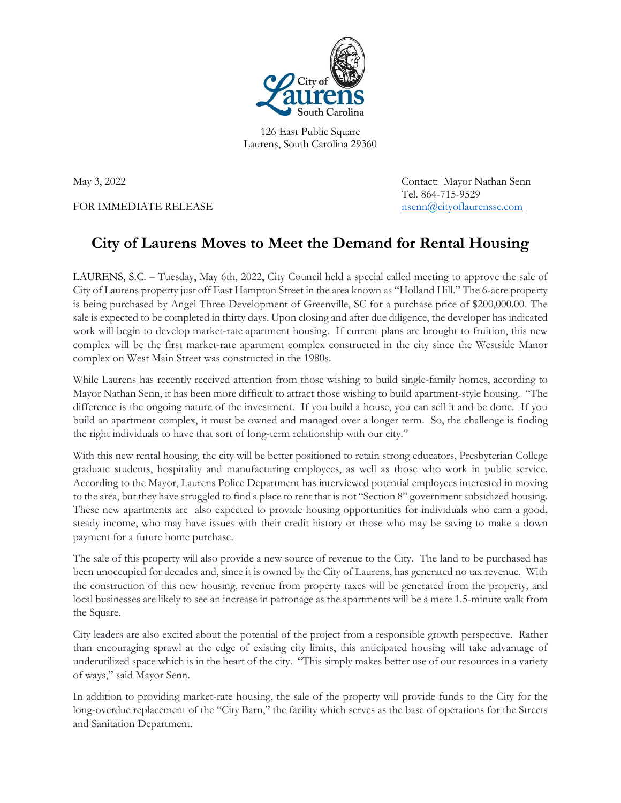

126 East Public Square Laurens, South Carolina 29360

FOR IMMEDIATE RELEASE [nsenn@cityoflaurenssc.com](mailto:nsenn@cityoflaurenssc.com)

May 3, 2022 Contact: Mayor Nathan Senn Tel. 864-715-9529

## **City of Laurens Moves to Meet the Demand for Rental Housing**

LAURENS, S.C. – Tuesday, May 6th, 2022, City Council held a special called meeting to approve the sale of City of Laurens property just off East Hampton Street in the area known as "Holland Hill." The 6-acre property is being purchased by Angel Three Development of Greenville, SC for a purchase price of \$200,000.00. The sale is expected to be completed in thirty days. Upon closing and after due diligence, the developer has indicated work will begin to develop market-rate apartment housing. If current plans are brought to fruition, this new complex will be the first market-rate apartment complex constructed in the city since the Westside Manor complex on West Main Street was constructed in the 1980s.

While Laurens has recently received attention from those wishing to build single-family homes, according to Mayor Nathan Senn, it has been more difficult to attract those wishing to build apartment-style housing. "The difference is the ongoing nature of the investment. If you build a house, you can sell it and be done. If you build an apartment complex, it must be owned and managed over a longer term. So, the challenge is finding the right individuals to have that sort of long-term relationship with our city."

With this new rental housing, the city will be better positioned to retain strong educators, Presbyterian College graduate students, hospitality and manufacturing employees, as well as those who work in public service. According to the Mayor, Laurens Police Department has interviewed potential employees interested in moving to the area, but they have struggled to find a place to rent that is not "Section 8" government subsidized housing. These new apartments are also expected to provide housing opportunities for individuals who earn a good, steady income, who may have issues with their credit history or those who may be saving to make a down payment for a future home purchase.

The sale of this property will also provide a new source of revenue to the City. The land to be purchased has been unoccupied for decades and, since it is owned by the City of Laurens, has generated no tax revenue. With the construction of this new housing, revenue from property taxes will be generated from the property, and local businesses are likely to see an increase in patronage as the apartments will be a mere 1.5-minute walk from the Square.

City leaders are also excited about the potential of the project from a responsible growth perspective. Rather than encouraging sprawl at the edge of existing city limits, this anticipated housing will take advantage of underutilized space which is in the heart of the city. "This simply makes better use of our resources in a variety of ways," said Mayor Senn.

In addition to providing market-rate housing, the sale of the property will provide funds to the City for the long-overdue replacement of the "City Barn," the facility which serves as the base of operations for the Streets and Sanitation Department.